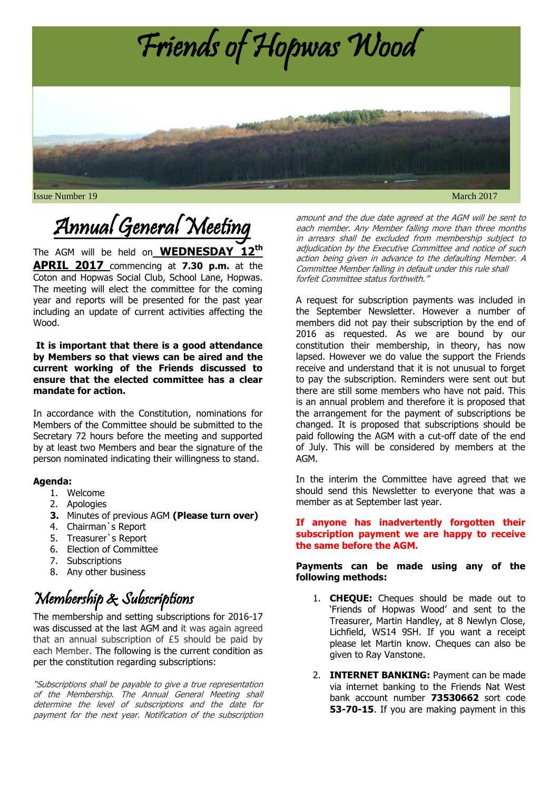

**Issue Number 19** March 2017

# Annual General Meeting

The AGM will be held on **WEDNESDAY 12 th APRIL 2017** commencing at **7.30 p.m.** at the Coton and Hopwas Social Club, School Lane, Hopwas. The meeting will elect the committee for the coming year and reports will be presented for the past year including an update of current activities affecting the Wood.

#### **It is important that there is a good attendance by Members so that views can be aired and the current working of the Friends discussed to ensure that the elected committee has a clear mandate for action.**

In accordance with the Constitution, nominations for Members of the Committee should be submitted to the Secretary 72 hours before the meeting and supported by at least two Members and bear the signature of the person nominated indicating their willingness to stand.

#### **Agenda:**

- 1. Welcome
- 2. Apologies
- **3.** Minutes of previous AGM **(Please turn over)**
- 4. Chairman`s Report
- 5. Treasurer`s Report
- 6. Election of Committee
- 7. Subscriptions
- 8. Any other business

# Membership & Subscriptions

The membership and setting subscriptions for 2016-17 was discussed at the last AGM and it was again agreed that an annual subscription of £5 should be paid by each Member. The following is the current condition as per the constitution regarding subscriptions:

"Subscriptions shall be payable to give a true representation of the Membership. The Annual General Meeting shall determine the level of subscriptions and the date for payment for the next year. Notification of the subscription amount and the due date agreed at the AGM will be sent to each member. Any Member falling more than three months in arrears shall be excluded from membership subject to adjudication by the Executive Committee and notice of such action being given in advance to the defaulting Member. A Committee Member falling in default under this rule shall forfeit Committee status forthwith."

A request for subscription payments was included in the September Newsletter. However a number of members did not pay their subscription by the end of 2016 as requested. As we are bound by our constitution their membership, in theory, has now lapsed. However we do value the support the Friends receive and understand that it is not unusual to forget to pay the subscription. Reminders were sent out but there are still some members who have not paid. This is an annual problem and therefore it is proposed that the arrangement for the payment of subscriptions be changed. It is proposed that subscriptions should be paid following the AGM with a cut-off date of the end of July. This will be considered by members at the AGM.

In the interim the Committee have agreed that we should send this Newsletter to everyone that was a member as at September last year.

#### **If anyone has inadvertently forgotten their subscription payment we are happy to receive the same before the AGM.**

#### **Payments can be made using any of the following methods:**

- 1. **CHEQUE:** Cheques should be made out to 'Friends of Hopwas Wood' and sent to the Treasurer, Martin Handley, at 8 Newlyn Close, Lichfield, WS14 9SH. If you want a receipt please let Martin know. Cheques can also be given to Ray Vanstone.
- 2. **INTERNET BANKING:** Payment can be made via internet banking to the Friends Nat West bank account number **73530662** sort code **53-70-15**. If you are making payment in this